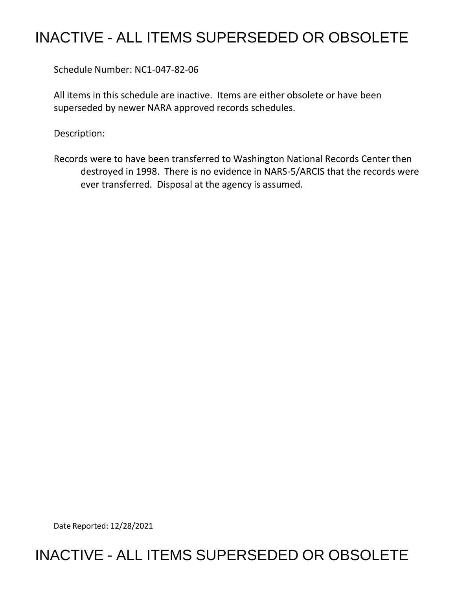## INACTIVE - ALL ITEMS SUPERSEDED OR OBSOLETE

Schedule Number: NC1-047-82-06

All items in this schedule are inactive. Items are either obsolete or have been superseded by newer NARA approved records schedules.

Description:

Records were to have been transferred to Washington National Records Center then destroyed in 1998. There is no evidence in NARS-5/ARCIS that the records were ever transferred. Disposal at the agency is assumed.

Date Reported: 12/28/2021

## INACTIVE - ALL ITEMS SUPERSEDED OR OBSOLETE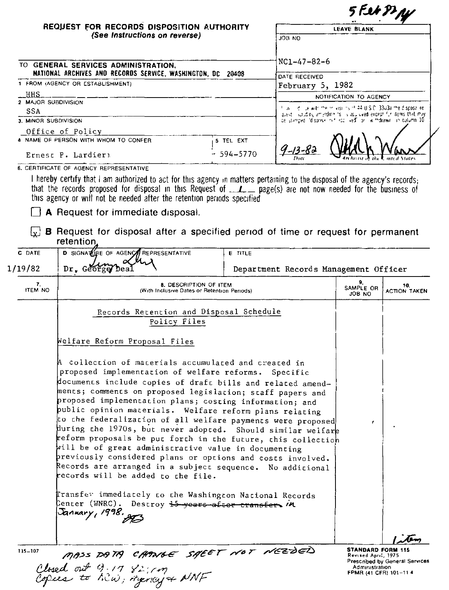| REQUEST FOR RECORDS DISPOSITION AUTHORITY                                                                                                                                                                                                                                                                                              |                                                                                                                                                                                                 | 5 Fet PINY<br><b>LEAVE BLANK</b>      |                           |                     |  |
|----------------------------------------------------------------------------------------------------------------------------------------------------------------------------------------------------------------------------------------------------------------------------------------------------------------------------------------|-------------------------------------------------------------------------------------------------------------------------------------------------------------------------------------------------|---------------------------------------|---------------------------|---------------------|--|
| (See Instructions on reverse)                                                                                                                                                                                                                                                                                                          |                                                                                                                                                                                                 | UN BOL                                |                           |                     |  |
| TO GENERAL SERVICES ADMINISTRATION,                                                                                                                                                                                                                                                                                                    |                                                                                                                                                                                                 | NC1-47-82-6                           |                           |                     |  |
| NATIONAL ARCHIVES AND RECORDS SERVICE, WASHINGTON, DC 20408<br>1 FROM (AGENCY OR ESTABLISHMENT)                                                                                                                                                                                                                                        |                                                                                                                                                                                                 | DATE RECEIVED                         |                           |                     |  |
| HHS_                                                                                                                                                                                                                                                                                                                                   | February 5, 1982                                                                                                                                                                                |                                       |                           |                     |  |
| 2 MAJOR SUBDIVISION                                                                                                                                                                                                                                                                                                                    |                                                                                                                                                                                                 |                                       | NOTIFICATION TO AGENCY    |                     |  |
| <b>SSA</b>                                                                                                                                                                                                                                                                                                                             | call of the more visions of 44 U.S.C. 3303a the dispose re-<br>quest inducing amendments is approved except for items that may<br>de stamped idispasition frace wed or in thdrawn in culumn 10. |                                       |                           |                     |  |
| 3. MINOR SUBDIVISION                                                                                                                                                                                                                                                                                                                   |                                                                                                                                                                                                 |                                       |                           |                     |  |
| Office of Policy                                                                                                                                                                                                                                                                                                                       |                                                                                                                                                                                                 |                                       |                           |                     |  |
| 4 NAME OF PERSON WITH WHOM TO CONFER<br>5 TEL EXT<br>- 594–5770<br>Ernest P. Lardieri                                                                                                                                                                                                                                                  |                                                                                                                                                                                                 |                                       |                           |                     |  |
|                                                                                                                                                                                                                                                                                                                                        |                                                                                                                                                                                                 | $9 - 13 - 85$                         |                           |                     |  |
| 6. CERTIFICATE OF AGENCY REPRESENTATIVE                                                                                                                                                                                                                                                                                                |                                                                                                                                                                                                 |                                       |                           |                     |  |
| I hereby certify that I am authorized to act for this agency in matters pertaining to the disposal of the agency's records;                                                                                                                                                                                                            |                                                                                                                                                                                                 |                                       |                           |                     |  |
| that the records proposed for disposal in this Request of _______ page(s) are not now needed for the business of<br>this agency or will not be needed after the retention periods specified<br>A Request for immediate disposal.<br><b>B</b> Request for disposal after a specified period of time or request for permanent<br>$\{x\}$ |                                                                                                                                                                                                 |                                       |                           |                     |  |
| retention.<br><b>D</b> SIGNATURE OF AGENCY<br>C DATE                                                                                                                                                                                                                                                                                   | <b>E</b> TITLE                                                                                                                                                                                  |                                       |                           |                     |  |
| REPRESENTATIVE                                                                                                                                                                                                                                                                                                                         |                                                                                                                                                                                                 |                                       |                           |                     |  |
| 1/19/82<br>Dr. George Dea                                                                                                                                                                                                                                                                                                              |                                                                                                                                                                                                 | Department Records Management Officer |                           |                     |  |
| 7.<br>8. DESCRIPTION OF ITEM<br>ITEM NO<br>(With Inclusive Dates or Retention Periods)                                                                                                                                                                                                                                                 |                                                                                                                                                                                                 |                                       | 9.<br>SAMPLE OR<br>ON 8OL | 10.                 |  |
| Records Retention and Disposal Schedule<br>Policy Files                                                                                                                                                                                                                                                                                |                                                                                                                                                                                                 |                                       |                           | <b>ACTION TAKEN</b> |  |

| $\mathbf{7}$<br><b>ITEM NO</b> | 8. DESCRIPTION OF ITEM<br>(With Inclusive Dates or Retention Periods)                                                                                                                                                                                                                                                                                                                                                                                                                                                                                                                                                                                                                                                                                                                                                                                                                                             | 9.<br>SAMPLE OR<br><b>ON 80L</b> | 10.<br><b>ACTION TAKEN</b>     |
|--------------------------------|-------------------------------------------------------------------------------------------------------------------------------------------------------------------------------------------------------------------------------------------------------------------------------------------------------------------------------------------------------------------------------------------------------------------------------------------------------------------------------------------------------------------------------------------------------------------------------------------------------------------------------------------------------------------------------------------------------------------------------------------------------------------------------------------------------------------------------------------------------------------------------------------------------------------|----------------------------------|--------------------------------|
|                                | Records Retention and Disposal Schedule<br>Policy Files                                                                                                                                                                                                                                                                                                                                                                                                                                                                                                                                                                                                                                                                                                                                                                                                                                                           |                                  |                                |
|                                | Welfare Reform Proposal Files                                                                                                                                                                                                                                                                                                                                                                                                                                                                                                                                                                                                                                                                                                                                                                                                                                                                                     |                                  |                                |
|                                | A collection of materials accumulated and created in<br>proposed implementation of welfare reforms. Specific<br>documents include copies of draft bills and related amend-<br>ments; comments on proposed legislation; staff papers and<br>proposed implementation plans; costing information; and<br>public opinion materials. Welfare reform plans relating<br>to the federalization of all welfare payments were proposed<br>during the 1970s, but never adopted. Should similar welfare<br>reform proposals be put forth in the future, this collection<br>will be of great administrative value in documenting<br>previously considered plans or options and costs involved.<br>Records are arranged in a subject sequence. No addicional<br>records will be added to the file.<br>Transfer immediately to the Washington National Records<br>Center (WNRC).  Destroy <del>15 years after transfer.</del> MM | f.                               |                                |
| 115-107                        | January, 1998.                                                                                                                                                                                                                                                                                                                                                                                                                                                                                                                                                                                                                                                                                                                                                                                                                                                                                                    | <b>STANDARD FORM 115</b>         |                                |
|                                | MASS DATA CHANGE SHEET NOT NEZDED                                                                                                                                                                                                                                                                                                                                                                                                                                                                                                                                                                                                                                                                                                                                                                                                                                                                                 | Revised April, 1975              | Prescribed by General Services |

Closed out 9-17 82; m

Administration<br>FPMR (41 CFR) 101-11 4